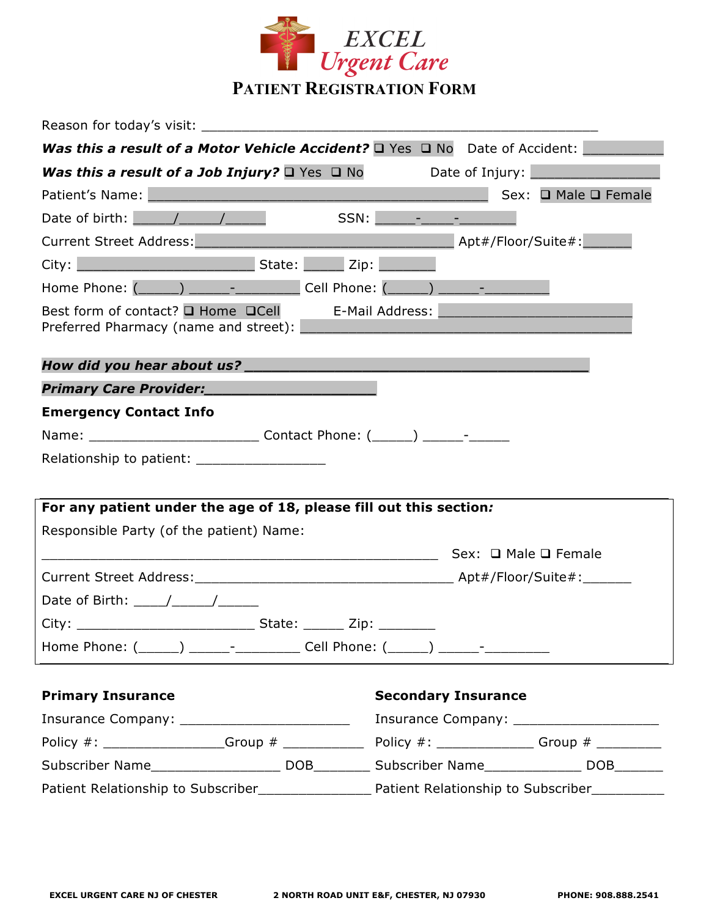

| Reason for today's visit:                                                                                       |                                                                                                                        |
|-----------------------------------------------------------------------------------------------------------------|------------------------------------------------------------------------------------------------------------------------|
| <b>Was this a result of a Motor Vehicle Accident?</b> $\Box$ Yes $\Box$ No Date of Accident:                    |                                                                                                                        |
| <b>Was this a result of a Job Injury?</b> $\Box$ Yes $\Box$ No Date of Injury: $\Box$                           |                                                                                                                        |
| Patient's Name: Manual Manual Manual Manual Manual Manual Manual Manual Manual Manual Manual Manual Manual Manu | Sex: □ Male □ Female                                                                                                   |
| Date of birth: $\sqrt{1 - 1}$                                                                                   |                                                                                                                        |
| Current Street Address: Manual Apt#/Floor/Suite#:                                                               |                                                                                                                        |
|                                                                                                                 |                                                                                                                        |
| Home Phone: (______) ______- _________ Cell Phone: (_____) ______- _____________                                |                                                                                                                        |
| Best form of contact? $\square$ Home $\square$ Cell E-Mail Address:<br>Preferred Pharmacy (name and street):    | <u> 1989 - Johann Stein, marwolaethau a bhann an t-Amhain an t-Amhain an t-Amhain an t-Amhain an t-Amhain an t-Amh</u> |
|                                                                                                                 |                                                                                                                        |
| Primary Care Provider:                                                                                          |                                                                                                                        |
| <b>Emergency Contact Info</b>                                                                                   |                                                                                                                        |
|                                                                                                                 |                                                                                                                        |
| Relationship to patient: ______________________                                                                 |                                                                                                                        |
|                                                                                                                 |                                                                                                                        |
| For any patient under the age of 18, please fill out this section:                                              |                                                                                                                        |
| Responsible Party (of the patient) Name:                                                                        |                                                                                                                        |
|                                                                                                                 |                                                                                                                        |
|                                                                                                                 |                                                                                                                        |
| Date of Birth: $\frac{1}{\sqrt{1-\frac{1}{2}}}\left\vert \frac{1}{\sqrt{1-\frac{1}{2}}}\right\vert$             |                                                                                                                        |
|                                                                                                                 |                                                                                                                        |
| Home Phone: (______) ______- __________ Cell Phone: (_____) ______- ___________                                 |                                                                                                                        |
| <b>Primary Insurance</b>                                                                                        | <b>Secondary Insurance</b>                                                                                             |
| Insurance Company: __________________________                                                                   |                                                                                                                        |
|                                                                                                                 |                                                                                                                        |
|                                                                                                                 |                                                                                                                        |

Patient Relationship to Subscriber\_\_\_\_\_\_\_\_\_\_\_\_\_\_\_\_\_\_\_\_\_ Patient Relationship to Subscriber\_\_\_\_\_\_\_\_\_\_